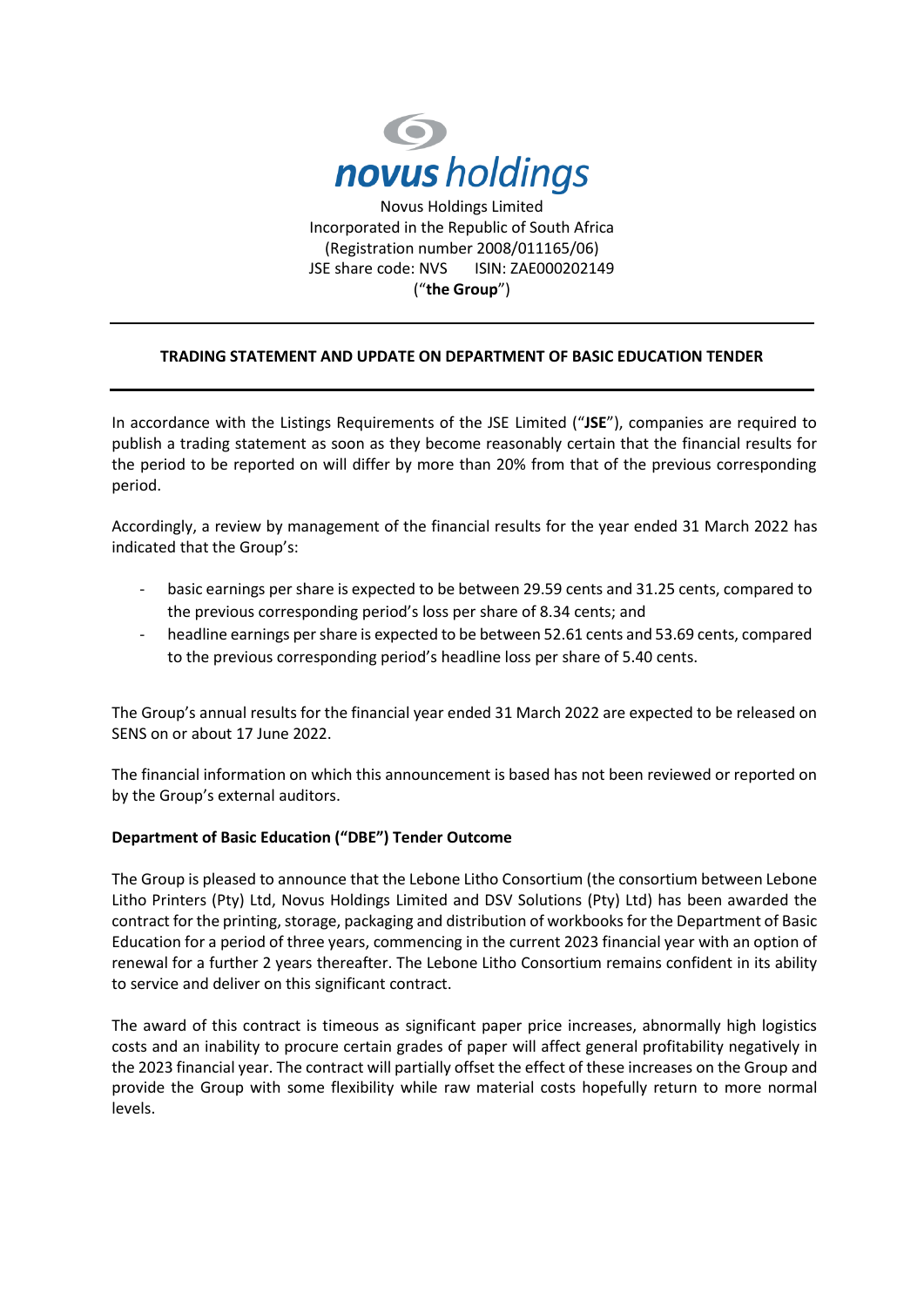

## **TRADING STATEMENT AND UPDATE ON DEPARTMENT OF BASIC EDUCATION TENDER**

In accordance with the Listings Requirements of the JSE Limited ("**JSE**"), companies are required to publish a trading statement as soon as they become reasonably certain that the financial results for the period to be reported on will differ by more than 20% from that of the previous corresponding period.

Accordingly, a review by management of the financial results for the year ended 31 March 2022 has indicated that the Group's:

- basic earnings per share is expected to be between 29.59 cents and 31.25 cents, compared to the previous corresponding period's loss per share of 8.34 cents; and
- headline earnings per share is expected to be between 52.61 cents and 53.69 cents, compared to the previous corresponding period's headline loss per share of 5.40 cents.

The Group's annual results for the financial year ended 31 March 2022 are expected to be released on SENS on or about 17 June 2022.

The financial information on which this announcement is based has not been reviewed or reported on by the Group's external auditors.

## **Department of Basic Education ("DBE") Tender Outcome**

The Group is pleased to announce that the Lebone Litho Consortium (the consortium between Lebone Litho Printers (Pty) Ltd, Novus Holdings Limited and DSV Solutions (Pty) Ltd) has been awarded the contract for the printing, storage, packaging and distribution of workbooks for the Department of Basic Education for a period of three years, commencing in the current 2023 financial year with an option of renewal for a further 2 years thereafter. The Lebone Litho Consortium remains confident in its ability to service and deliver on this significant contract.

The award of this contract is timeous as significant paper price increases, abnormally high logistics costs and an inability to procure certain grades of paper will affect general profitability negatively in the 2023 financial year. The contract will partially offset the effect of these increases on the Group and provide the Group with some flexibility while raw material costs hopefully return to more normal levels.